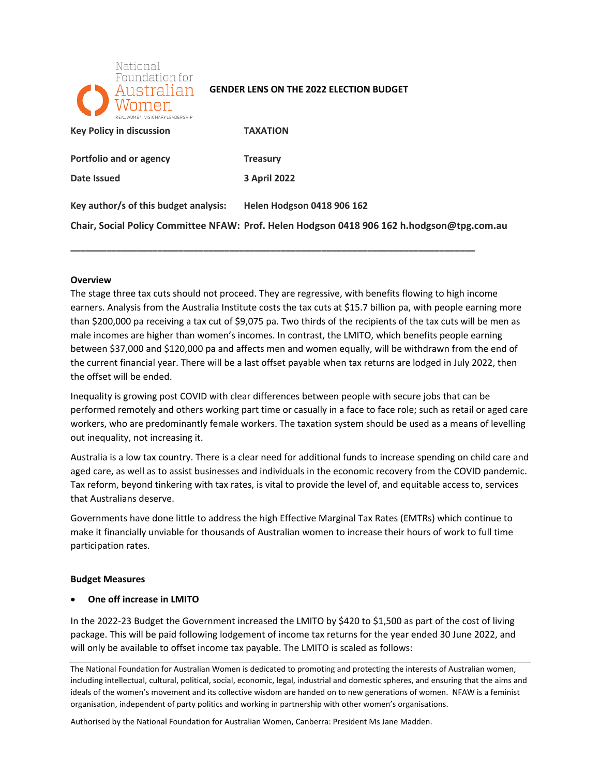

### **GENDER LENS ON THE 2022 ELECTION BUDGET**

| REAL WOMEN, VISIONARYLEADERSHIP       |                                                                                            |
|---------------------------------------|--------------------------------------------------------------------------------------------|
| <b>Key Policy in discussion</b>       | <b>TAXATION</b>                                                                            |
| Portfolio and or agency               | <b>Treasury</b>                                                                            |
| Date Issued                           | <b>3 April 2022</b>                                                                        |
| Key author/s of this budget analysis: | <b>Helen Hodgson 0418 906 162</b>                                                          |
|                                       | Chair, Social Policy Committee NFAW: Prof. Helen Hodgson 0418 906 162 h.hodgson@tpg.com.au |

**\_\_\_\_\_\_\_\_\_\_\_\_\_\_\_\_\_\_\_\_\_\_\_\_\_\_\_\_\_\_\_\_\_\_\_\_\_\_\_\_\_\_\_\_\_\_\_\_\_\_\_\_\_\_\_\_\_\_\_\_\_\_\_\_\_\_\_\_\_\_\_\_\_\_\_\_\_\_\_** 

### **Overview**

 The stage three tax cuts should not proceed. They are regressive, with benefits flowing to high income earners. Analysis from the Australia Institute costs the tax cuts at \$15.7 billion pa, with people earning more than \$200,000 pa receiving a tax cut of \$9,075 pa. Two thirds of the recipients of the tax cuts will be men as male incomes are higher than women's incomes. In contrast, the LMITO, which benefits people earning between \$37,000 and \$120,000 pa and affects men and women equally, will be withdrawn from the end of the current financial year. There will be a last offset payable when tax returns are lodged in July 2022, then the offset will be ended.

 Inequality is growing post COVID with clear differences between people with secure jobs that can be performed remotely and others working part time or casually in a face to face role; such as retail or aged care workers, who are predominantly female workers. The taxation system should be used as a means of levelling out inequality, not increasing it.

 Australia is a low tax country. There is a clear need for additional funds to increase spending on child care and aged care, as well as to assist businesses and individuals in the economic recovery from the COVID pandemic. Tax reform, beyond tinkering with tax rates, is vital to provide the level of, and equitable access to, services that Australians deserve.

 Governments have done little to address the high Effective Marginal Tax Rates (EMTRs) which continue to make it financially unviable for thousands of Australian women to increase their hours of work to full time participation rates.

### **Budget Measures**

## • **One off increase in LMITO**

 In the 2022-23 Budget the Government increased the LMITO by \$420 to \$1,500 as part of the cost of living package. This will be paid following lodgement of income tax returns for the year ended 30 June 2022, and will only be available to offset income tax payable. The LMITO is scaled as follows:

Authorised by the National Foundation for Australian Women, Canberra: President Ms Jane Madden.

The National Foundation for Australian Women is dedicated to promoting and protecting the interests of Australian women, including intellectual, cultural, political, social, economic, legal, industrial and domestic spheres, and ensuring that the aims and ideals of the women's movement and its collective wisdom are handed on to new generations of women. NFAW is a feminist organisation, independent of party politics and working in partnership with other women's organisations.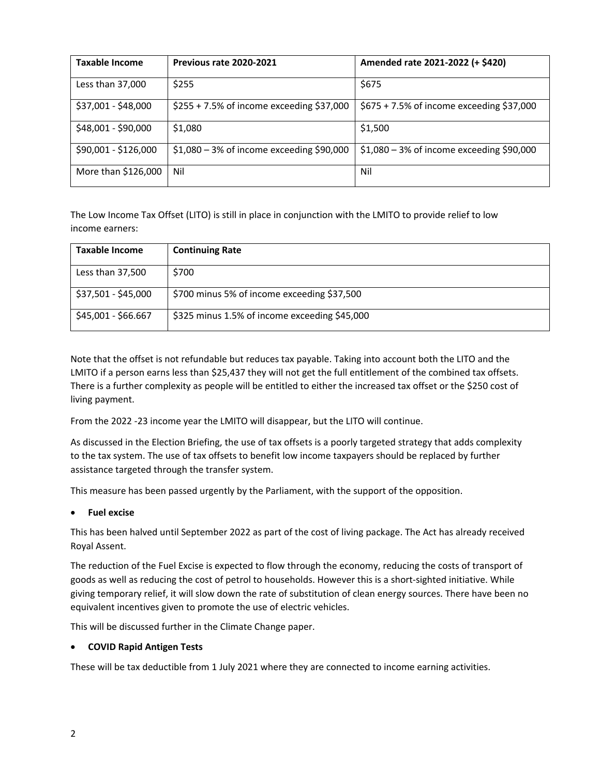| <b>Taxable Income</b> | Previous rate 2020-2021                     | Amended rate 2021-2022 (+ \$420)            |
|-----------------------|---------------------------------------------|---------------------------------------------|
| Less than 37,000      | \$255                                       | \$675                                       |
| \$37,001 - \$48,000   | $$255 + 7.5\%$ of income exceeding \$37,000 | $$675 + 7.5\%$ of income exceeding \$37,000 |
| \$48,001 - \$90,000   | \$1,080                                     | \$1,500                                     |
| \$90,001 - \$126,000  | $$1,080 - 3\%$ of income exceeding \$90,000 | $$1,080 - 3\%$ of income exceeding \$90,000 |
| More than \$126,000   | Nil                                         | Nil                                         |

 The Low Income Tax Offset (LITO) is still in place in conjunction with the LMITO to provide relief to low income earners:

| <b>Taxable Income</b> | <b>Continuing Rate</b>                        |
|-----------------------|-----------------------------------------------|
| Less than 37,500      | \$700                                         |
| \$37,501 - \$45,000   | \$700 minus 5% of income exceeding \$37,500   |
| \$45,001 - \$66.667   | \$325 minus 1.5% of income exceeding \$45,000 |

 Note that the offset is not refundable but reduces tax payable. Taking into account both the LITO and the LMITO if a person earns less than \$25,437 they will not get the full entitlement of the combined tax offsets. There is a further complexity as people will be entitled to either the increased tax offset or the \$250 cost of living payment.

From the 2022 -23 income year the LMITO will disappear, but the LITO will continue.

 As discussed in the Election Briefing, the use of tax offsets is a poorly targeted strategy that adds complexity to the tax system. The use of tax offsets to benefit low income taxpayers should be replaced by further assistance targeted through the transfer system.

This measure has been passed urgently by the Parliament, with the support of the opposition.

### • **Fuel excise**

 This has been halved until September 2022 as part of the cost of living package. The Act has already received Royal Assent.

 The reduction of the Fuel Excise is expected to flow through the economy, reducing the costs of transport of goods as well as reducing the cost of petrol to households. However this is a short-sighted initiative. While giving temporary relief, it will slow down the rate of substitution of clean energy sources. There have been no equivalent incentives given to promote the use of electric vehicles.

This will be discussed further in the Climate Change paper.

### • **COVID Rapid Antigen Tests**

These will be tax deductible from 1 July 2021 where they are connected to income earning activities.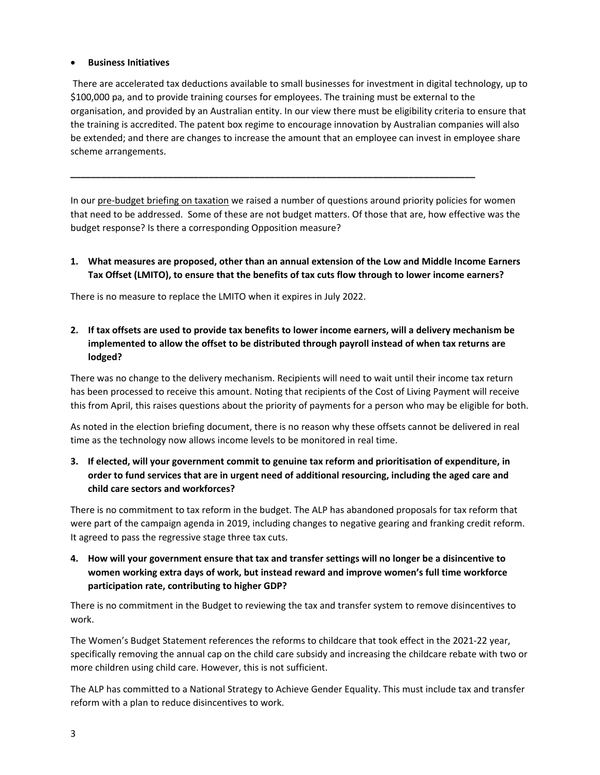### • **Business Initiatives**

 There are accelerated tax deductions available to small businesses for investment in digital technology, up to \$100,000 pa, and to provide training courses for employees. The training must be external to the organisation, and provided by an Australian entity. In our view there must be eligibility criteria to ensure that the training is accredited. The patent box regime to encourage innovation by Australian companies will also be extended; and there are changes to increase the amount that an employee can invest in employee share scheme arrangements.

In our pre-budget briefing on taxation we raised a number of questions around priority policies for women that need to be addressed. Some of these are not budget matters. Of those that are, how effective was the budget response? Is there a corresponding Opposition measure?

**\_\_\_\_\_\_\_\_\_\_\_\_\_\_\_\_\_\_\_\_\_\_\_\_\_\_\_\_\_\_\_\_\_\_\_\_\_\_\_\_\_\_\_\_\_\_\_\_\_\_\_\_\_\_\_\_\_\_\_\_\_\_\_\_\_\_\_\_\_\_\_\_\_\_\_\_\_\_\_** 

# **1. What measures are proposed, other than an annual extension of the Low and Middle Income Earners Tax Offset (LMITO), to ensure that the benefits of tax cuts flow through to lower income earners?**

There is no measure to replace the LMITO when it expires in July 2022.

 **2. If tax offsets are used to provide tax benefits to lower income earners, will a delivery mechanism be implemented to allow the offset to be distributed through payroll instead of when tax returns are lodged?** 

 There was no change to the delivery mechanism. Recipients will need to wait until their income tax return has been processed to receive this amount. Noting that recipients of the Cost of Living Payment will receive this from April, this raises questions about the priority of payments for a person who may be eligible for both.

 As noted in the election briefing document, there is no reason why these offsets cannot be delivered in real time as the technology now allows income levels to be monitored in real time.

 **3. If elected, will your government commit to genuine tax reform and prioritisation of expenditure, in order to fund services that are in urgent need of additional resourcing, including the aged care and child care sectors and workforces?** 

 There is no commitment to tax reform in the budget. The ALP has abandoned proposals for tax reform that were part of the campaign agenda in 2019, including changes to negative gearing and franking credit reform. It agreed to pass the regressive stage three tax cuts.

 **4. How will your government ensure that tax and transfer settings will no longer be a disincentive to women working extra days of work, but instead reward and improve women's full time workforce participation rate, contributing to higher GDP?** 

work. There is no commitment in the Budget to reviewing the tax and transfer system to remove disincentives to

work.<br>The Women's Budget Statement references the reforms to childcare that took effect in the 2021-22 year, specifically removing the annual cap on the child care subsidy and increasing the childcare rebate with two or more children using child care. However, this is not sufficient.

 The ALP has committed to a National Strategy to Achieve Gender Equality. This must include tax and transfer reform with a plan to reduce disincentives to work.